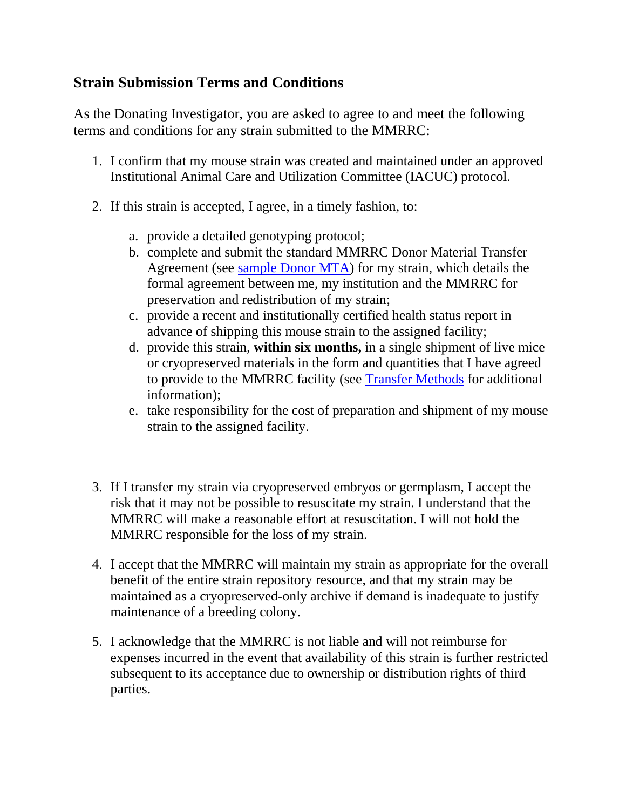## **Strain Submission Terms and Conditions**

As the Donating Investigator, you are asked to agree to and meet the following terms and conditions for any strain submitted to the MMRRC:

- 1. I confirm that my mouse strain was created and maintained under an approved Institutional Animal Care and Utilization Committee (IACUC) protocol.
- 2. If this strain is accepted, I agree, in a timely fashion, to:
	- a. provide a detailed genotyping protocol;
	- b. complete and submit the standard MMRRC Donor Material Transfer Agreement (see [sample Donor MTA\)](https://www.mmrrc.org/mta/incoming_mta.pdf) for my strain, which details the formal agreement between me, my institution and the MMRRC for preservation and redistribution of my strain;
	- c. provide a recent and institutionally certified health status report in advance of shipping this mouse strain to the assigned facility;
	- d. provide this strain, **within six months,** in a single shipment of live mice or cryopreserved materials in the form and quantities that I have agreed to provide to the MMRRC facility (see [Transfer Methods](https://www.mmrrc.org/submission/transfer_methods.php) for additional information);
	- e. take responsibility for the cost of preparation and shipment of my mouse strain to the assigned facility.
- 3. If I transfer my strain via cryopreserved embryos or germplasm, I accept the risk that it may not be possible to resuscitate my strain. I understand that the MMRRC will make a reasonable effort at resuscitation. I will not hold the MMRRC responsible for the loss of my strain.
- 4. I accept that the MMRRC will maintain my strain as appropriate for the overall benefit of the entire strain repository resource, and that my strain may be maintained as a cryopreserved-only archive if demand is inadequate to justify maintenance of a breeding colony.
- 5. I acknowledge that the MMRRC is not liable and will not reimburse for expenses incurred in the event that availability of this strain is further restricted subsequent to its acceptance due to ownership or distribution rights of third parties.